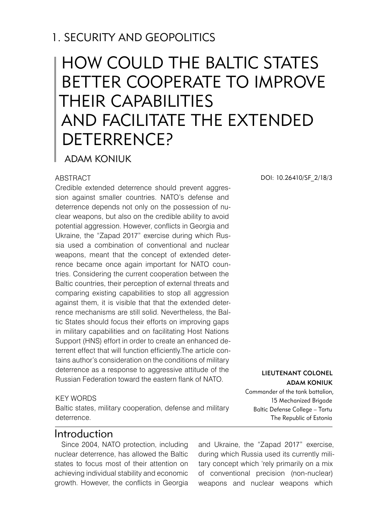## 1. SECURITY AND GEOPOLITICS

# How could the Baltic States better cooperate to improve their capabilities and facilitate the extended deterrence?

Adam Koniuk

#### **ABSTRACT**

Credible extended deterrence should prevent aggression against smaller countries. NATO's defense and deterrence depends not only on the possession of nuclear weapons, but also on the credible ability to avoid potential aggression. However, conflicts in Georgia and Ukraine, the "Zapad 2017" exercise during which Russia used a combination of conventional and nuclear weapons, meant that the concept of extended deterrence became once again important for NATO countries. Considering the current cooperation between the Baltic countries, their perception of external threats and comparing existing capabilities to stop all aggression against them, it is visible that that the extended deterrence mechanisms are still solid. Nevertheless, the Baltic States should focus their efforts on improving gaps in military capabilities and on facilitating Host Nations Support (HNS) effort in order to create an enhanced deterrent effect that will function efficiently.The article contains author's consideration on the conditions of military deterrence as a response to aggressive attitude of the Russian Federation toward the eastern flank of NATO.

#### KEY WORDS

Baltic states, military cooperation, defense and military deterrence.

#### Introduction

Since 2004, NATO protection, including nuclear deterrence, has allowed the Baltic states to focus most of their attention on achieving individual stability and economic growth. However, the conflicts in Georgia

DOI: 10.26410/SF\_2/18/3

Lieutenant Colonel Adam Koniuk

Commander of the tank battalion, 15 Mechanized Brigade Baltic Defense College – Tartu The Republic of Estonia

and Ukraine, the "Zapad 2017" exercise, during which Russia used its currently military concept which 'rely primarily on a mix of conventional precision (non-nuclear) weapons and nuclear weapons which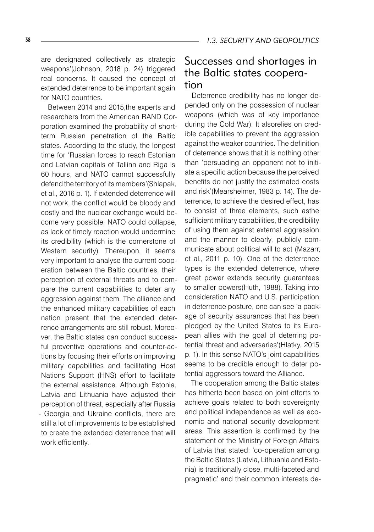for NATO countries. Between 2014 and 2015,the experts and researchers from the American RAND Corporation examined the probability of shortterm Russian penetration of the Baltic states. According to the study, the longest time for 'Russian forces to reach Estonian and Latvian capitals of Tallinn and Riga is 60 hours, and NATO cannot successfully defend the territory of its members'(Shlapak, et al., 2016 p. 1). If extended deterrence will not work, the conflict would be bloody and costly and the nuclear exchange would become very possible. NATO could collapse, as lack of timely reaction would undermine its credibility (which is the cornerstone of Western security). Thereupon, it seems very important to analyse the current cooperation between the Baltic countries, their perception of external threats and to compare the current capabilities to deter any aggression against them. The alliance and the enhanced military capabilities of each nation present that the extended deterrence arrangements are still robust. Moreover, the Baltic states can conduct successful preventive operations and counter-actions by focusing their efforts on improving military capabilities and facilitating Host Nations Support (HNS) effort to facilitate the external assistance. Although Estonia, Latvia and Lithuania have adjusted their perception of threat, especially after Russia - Georgia and Ukraine conflicts, there are still a lot of improvements to be established to create the extended deterrence that will work efficiently.

extended deterrence to be important again

### Successes and shortages in the Baltic states cooperation

Deterrence credibility has no longer depended only on the possession of nuclear weapons (which was of key importance during the Cold War). It alsorelies on credible capabilities to prevent the aggression against the weaker countries. The definition of deterrence shows that it is nothing other than 'persuading an opponent not to initiate a specific action because the perceived benefits do not justify the estimated costs and risk'(Mearsheimer, 1983 p. 14). The deterrence, to achieve the desired effect, has to consist of three elements, such asthe sufficient military capabilities, the credibility of using them against external aggression and the manner to clearly, publicly communicate about political will to act (Mazarr, et al., 2011 p. 10). One of the deterrence types is the extended deterrence, where great power extends security guarantees to smaller powers(Huth, 1988). Taking into consideration NATO and U.S. participation in deterrence posture, one can see 'a package of security assurances that has been pledged by the United States to its European allies with the goal of deterring potential threat and adversaries'(Hlatky, 2015 p. 1). In this sense NATO's joint capabilities seems to be credible enough to deter potential aggressors toward the Alliance.

The cooperation among the Baltic states has hitherto been based on joint efforts to achieve goals related to both sovereignty and political independence as well as economic and national security development areas. This assertion is confirmed by the statement of the Ministry of Foreign Affairs of Latvia that stated: 'co-operation among the Baltic States (Latvia, Lithuania and Estonia) is traditionally close, multi-faceted and pragmatic' and their common interests de-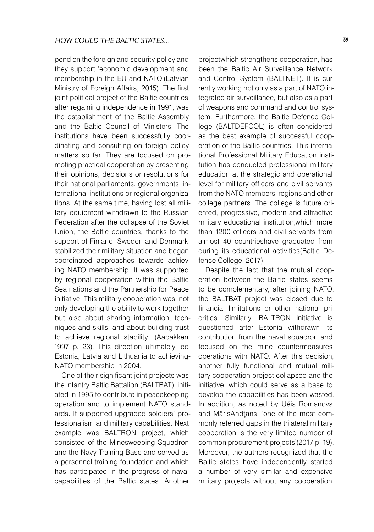pend on the foreign and security policy and they support 'economic development and membership in the EU and NATO'(Latvian Ministry of Foreign Affairs, 2015). The first joint political project of the Baltic countries, after regaining independence in 1991, was the establishment of the Baltic Assembly and the Baltic Council of Ministers. The institutions have been successfully coordinating and consulting on foreign policy matters so far. They are focused on promoting practical cooperation by presenting their opinions, decisions or resolutions for their national parliaments, governments, international institutions or regional organizations. At the same time, having lost all military equipment withdrawn to the Russian Federation after the collapse of the Soviet Union, the Baltic countries, thanks to the support of Finland, Sweden and Denmark, stabilized their military situation and began coordinated approaches towards achieving NATO membership. It was supported by regional cooperation within the Baltic Sea nations and the Partnership for Peace initiative. This military cooperation was 'not only developing the ability to work together, but also about sharing information, techniques and skills, and about building trust to achieve regional stability' (Aabakken, 1997 p. 23). This direction ultimately led Estonia, Latvia and Lithuania to achieving-NATO membership in 2004.

One of their significant joint projects was the infantry Baltic Battalion (BALTBAT), initiated in 1995 to contribute in peacekeeping operation and to implement NATO standards. It supported upgraded soldiers' professionalism and military capabilities. Next example was BALTRON project, which consisted of the Minesweeping Squadron and the Navy Training Base and served as a personnel training foundation and which has participated in the progress of naval capabilities of the Baltic states. Another

projectwhich strengthens cooperation, has been the Baltic Air Surveillance Network and Control System (BALTNET). It is currently working not only as a part of NATO integrated air surveillance, but also as a part of weapons and command and control system. Furthermore, the Baltic Defence College (BALTDEFCOL) is often considered as the best example of successful cooperation of the Baltic countries. This international Professional Military Education institution has conducted professional military education at the strategic and operational level for military officers and civil servants from the NATO members' regions and other college partners. The college is future oriented, progressive, modern and attractive military educational institution,which more than 1200 officers and civil servants from almost 40 countrieshave graduated from during its educational activities(Baltic Defence College, 2017).

Despite the fact that the mutual cooperation between the Baltic states seems to be complementary, after joining NATO, the BALTBAT project was closed due to financial limitations or other national priorities. Similarly, BALTRON initiative is questioned after Estonia withdrawn its contribution from the naval squadron and focused on the mine countermeasures operations with NATO. After this decision, another fully functional and mutual military cooperation project collapsed and the initiative, which could serve as a base to develop the capabilities has been wasted. In addition, as noted by Uěis Romanovs and MârisAndtâns, 'one of the most commonly referred gaps in the trilateral military cooperation is the very limited number of common procurement projects'(2017 p. 19). Moreover, the authors recognized that the Baltic states have independently started a number of very similar and expensive military projects without any cooperation.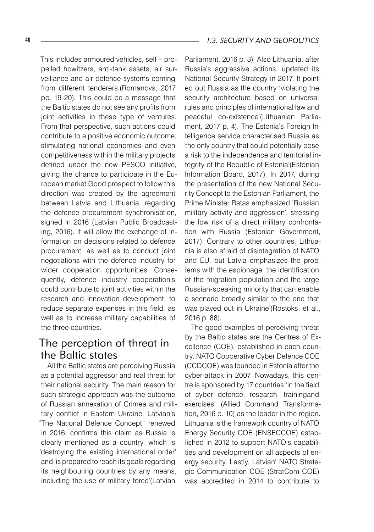This includes armoured vehicles, self – propelled howitzers, anti-tank assets, air surveillance and air defence systems coming from different tenderers.(Romanovs, 2017 pp. 19-20). This could be a message that the Baltic states do not see any profits from joint activities in these type of ventures. From that perspective, such actions could contribute to a positive economic outcome, stimulating national economies and even competitiveness within the military projects defined under the new PESCO initiative, giving the chance to participate in the European market.Good prospect to follow this direction was created by the agreement between Latvia and Lithuania, regarding the defence procurement synchronisation, signed in 2016 (Latvian Public Broadcasting, 2016). It will allow the exchange of information on decisions related to defence procurement, as well as to conduct joint negotiations with the defence industry for wider cooperation opportunities. Consequently, defence industry cooperation's could contribute to joint activities within the research and innovation development, to reduce separate expenses in this field, as well as to increase military capabilities of the three countries.

### The perception of threat in the Baltic states

All the Baltic states are perceiving Russia as a potential aggressor and real threat for their national security. The main reason for such strategic approach was the outcome of Russian annexation of Crimea and military conflict in Eastern Ukraine. Latvian's "The National Defence Concept" renewed in 2016, confirms this claim as Russia is clearly mentioned as a country, which is 'destroying the existing international order' and 'is prepared to reach its goals regarding its neighbouring countries by any means, including the use of military force'(Latvian

Parliament, 2016 p. 3). Also Lithuania, after Russia's aggressive actions, updated its National Security Strategy in 2017. It pointed out Russia as the country 'violating the security architecture based on universal rules and principles of international law and peaceful co-existence'(Lithuanian Parliament, 2017 p. 4). The Estonia's Foreign Intelligence service characterised Russia as 'the only country that could potentially pose a risk to the independence and territorial integrity of the Republic of Estonia'(Estonian Information Board, 2017). In 2017, during the presentation of the new National Security Concept to the Estonian Parliament, the Prime Minister Ratas emphasized 'Russian military activity and aggression', stressing the low risk of a direct military confrontation with Russia (Estonian Government, 2017). Contrary to other countries, Lithuania is also afraid of disintegration of NATO and EU, but Latvia emphasizes the problems with the espionage, the identification of the migration population and the large Russian-speaking minority that can enable 'a scenario broadly similar to the one that was played out in Ukraine'(Rostoks, et al., 2016 p. 88).

The good examples of perceiving threat by the Baltic states are the Centres of Excellence (COE), established in each country. NATO Cooperative Cyber Defence COE (CCDCOE) was founded in Estonia after the cyber-attack in 2007. Nowadays, this centre is sponsored by 17 countries 'in the field of cyber defence, research, trainingand exercises' (Allied Command Transformation, 2016 p. 10) as the leader in the region. Lithuania is the framework country of NATO Energy Security COE (ENSECCOE) established in 2012 to support NATO's capabilities and development on all aspects of energy security. Lastly, Latvian' NATO Strategic Communication COE (StratCom COE) was accredited in 2014 to contribute to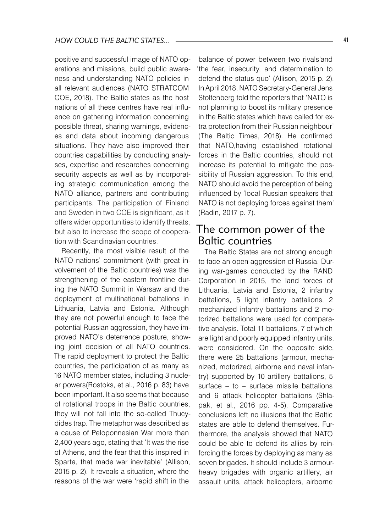positive and successful image of NATO operations and missions, build public awareness and understanding NATO policies in all relevant audiences (NATO STRATCOM COE, 2018). The Baltic states as the host nations of all these centres have real influence on gathering information concerning possible threat, sharing warnings, evidences and data about incoming dangerous situations. They have also improved their countries capabilities by conducting analyses, expertise and researches concerning security aspects as well as by incorporating strategic communication among the NATO alliance, partners and contributing participants. The participation of Finland and Sweden in two COE is significant, as it offers wider opportunities to identify threats, but also to increase the scope of cooperation with Scandinavian countries.

Recently, the most visible result of the NATO nations' commitment (with great involvement of the Baltic countries) was the strengthening of the eastern frontline during the NATO Summit in Warsaw and the deployment of multinational battalions in Lithuania, Latvia and Estonia. Although they are not powerful enough to face the potential Russian aggression, they have improved NATO's deterrence posture, showing joint decision of all NATO countries. The rapid deployment to protect the Baltic countries, the participation of as many as 16 NATO member states, including 3 nuclear powers(Rostoks, et al., 2016 p. 83) have been important. It also seems that because of rotational troops in the Baltic countries, they will not fall into the so-called Thucydides trap. The metaphor was described as a cause of Peloponnesian War more than 2,400 years ago, stating that 'It was the rise of Athens, and the fear that this inspired in Sparta, that made war inevitable' (Allison, 2015 p. 2). It reveals a situation, where the reasons of the war were 'rapid shift in the

balance of power between two rivals'and 'the fear, insecurity, and determination to defend the status quo' (Allison, 2015 p. 2). In April 2018, NATO Secretary-General Jens Stoltenberg told the reporters that 'NATO is not planning to boost its military presence in the Baltic states which have called for extra protection from their Russian neighbour' (The Baltic Times, 2018). He confirmed that NATO,having established rotational forces in the Baltic countries, should not increase its potential to mitigate the possibility of Russian aggression. To this end, NATO should avoid the perception of being influenced by 'local Russian speakers that NATO is not deploying forces against them' (Radin, 2017 p. 7).

#### The common power of the Baltic countries

The Baltic States are not strong enough to face an open aggression of Russia. During war-games conducted by the RAND Corporation in 2015, the land forces of Lithuania, Latvia and Estonia, 2 infantry battalions, 5 light infantry battalions, 2 mechanized infantry battalions and 2 motorized battalions were used for comparative analysis. Total 11 battalions, 7 of which are light and poorly equipped infantry units, were considered. On the opposite side, there were 25 battalions (armour, mechanized, motorized, airborne and naval infantry) supported by 10 artillery battalions, 5 surface – to – surface missile battalions and 6 attack helicopter battalions (Shlapak, et al., 2016 pp. 4-5). Comparative conclusions left no illusions that the Baltic states are able to defend themselves. Furthermore, the analysis showed that NATO could be able to defend its allies by reinforcing the forces by deploying as many as seven brigades. It should include 3 armourheavy brigades with organic artillery, air assault units, attack helicopters, airborne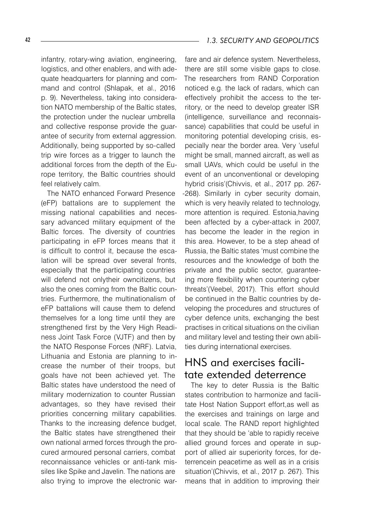infantry, rotary-wing aviation, engineering, logistics, and other enablers, and with adequate headquarters for planning and command and control (Shlapak, et al., 2016 p. 9). Nevertheless, taking into consideration NATO membership of the Baltic states, the protection under the nuclear umbrella and collective response provide the guarantee of security from external aggression. Additionally, being supported by so-called trip wire forces as a trigger to launch the additional forces from the depth of the Europe territory, the Baltic countries should feel relatively calm.

The NATO enhanced Forward Presence (eFP) battalions are to supplement the missing national capabilities and necessary advanced military equipment of the Baltic forces. The diversity of countries participating in eFP forces means that it is difficult to control it, because the escalation will be spread over several fronts, especially that the participating countries will defend not onlytheir owncitizens, but also the ones coming from the Baltic countries. Furthermore, the multinationalism of eFP battalions will cause them to defend themselves for a long time until they are strengthened first by the Very High Readiness Joint Task Force (VJTF) and then by the NATO Response Forces (NRF). Latvia, Lithuania and Estonia are planning to increase the number of their troops, but goals have not been achieved yet. The Baltic states have understood the need of military modernization to counter Russian advantages, so they have revised their priorities concerning military capabilities. Thanks to the increasing defence budget, the Baltic states have strengthened their own national armed forces through the procured armoured personal carriers, combat reconnaissance vehicles or anti-tank missiles like Spike and Javelin. The nations are also trying to improve the electronic war-

there are still some visible gaps to close. The researchers from RAND Corporation noticed e.g. the lack of radars, which can effectively prohibit the access to the territory, or the need to develop greater ISR (intelligence, surveillance and reconnaissance) capabilities that could be useful in monitoring potential developing crisis, especially near the border area. Very 'useful might be small, manned aircraft, as well as small UAVs, which could be useful in the event of an unconventional or developing hybrid crisis'(Chivvis, et al., 2017 pp. 267- -268). Similarly in cyber security domain, which is very heavily related to technology, more attention is required. Estonia,having been affected by a cyber-attack in 2007, has become the leader in the region in this area. However, to be a step ahead of Russia, the Baltic states 'must combine the resources and the knowledge of both the private and the public sector, guaranteeing more flexibility when countering cyber threats'(Veebel, 2017). This effort should be continued in the Baltic countries by developing the procedures and structures of cyber defence units, exchanging the best practises in critical situations on the civilian and military level and testing their own abilities during international exercises.

## HNS and exercises facilitate extended deterrence

The key to deter Russia is the Baltic states contribution to harmonize and facilitate Host Nation Support effort,as well as the exercises and trainings on large and local scale. The RAND report highlighted that they should be 'able to rapidly receive allied ground forces and operate in support of allied air superiority forces, for deterrencein peacetime as well as in a crisis situation'(Chivvis, et al., 2017 p. 267). This means that in addition to improving their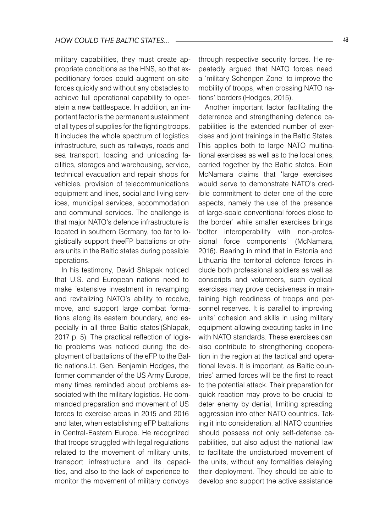military capabilities, they must create appropriate conditions as the HNS, so that expeditionary forces could augment on-site forces quickly and without any obstacles,to achieve full operational capability to operatein a new battlespace. In addition, an important factor is the permanent sustainment of all types of supplies for the fighting troops. It includes the whole spectrum of logistics infrastructure, such as railways, roads and sea transport, loading and unloading facilities, storages and warehousing, service, technical evacuation and repair shops for vehicles, provision of telecommunications equipment and lines, social and living services, municipal services, accommodation and communal services. The challenge is that major NATO's defence infrastructure is located in southern Germany, too far to logistically support theeFP battalions or others units in the Baltic states during possible operations.

In his testimony, David Shlapak noticed that U.S. and European nations need to make 'extensive investment in revamping and revitalizing NATO's ability to receive, move, and support large combat formations along its eastern boundary, and especially in all three Baltic states'(Shlapak, 2017 p. 5). The practical reflection of logistic problems was noticed during the deployment of battalions of the eFP to the Baltic nations.Lt. Gen. Benjamin Hodges, the former commander of the US Army Europe, many times reminded about problems associated with the military logistics. He commanded preparation and movement of US forces to exercise areas in 2015 and 2016 and later, when establishing eFP battalions in Central-Eastern Europe. He recognized that troops struggled with legal regulations related to the movement of military units, transport infrastructure and its capacities, and also to the lack of experience to monitor the movement of military convoys

through respective security forces. He repeatedly argued that NATO forces need a 'military Schengen Zone' to improve the mobility of troops, when crossing NATO nations' borders (Hodges, 2015).

Another important factor facilitating the deterrence and strengthening defence capabilities is the extended number of exercises and joint trainings in the Baltic States. This applies both to large NATO multinational exercises as well as to the local ones, carried together by the Baltic states. Eoin McNamara claims that 'large exercises would serve to demonstrate NATO's credible commitment to deter one of the core aspects, namely the use of the presence of large-scale conventional forces close to the border' while smaller exercises brings 'better interoperability with non-professional force components' (McNamara, 2016). Bearing in mind that in Estonia and Lithuania the territorial defence forces include both professional soldiers as well as conscripts and volunteers, such cyclical exercises may prove decisiveness in maintaining high readiness of troops and personnel reserves. It is parallel to improving units' cohesion and skills in using military equipment allowing executing tasks in line with NATO standards. These exercises can also contribute to strengthening cooperation in the region at the tactical and operational levels. It is important, as Baltic countries' armed forces will be the first to react to the potential attack. Their preparation for quick reaction may prove to be crucial to deter enemy by denial, limiting spreading aggression into other NATO countries. Taking it into consideration, all NATO countries should possess not only self-defense capabilities, but also adjust the national law to facilitate the undisturbed movement of the units, without any formalities delaying their deployment. They should be able to develop and support the active assistance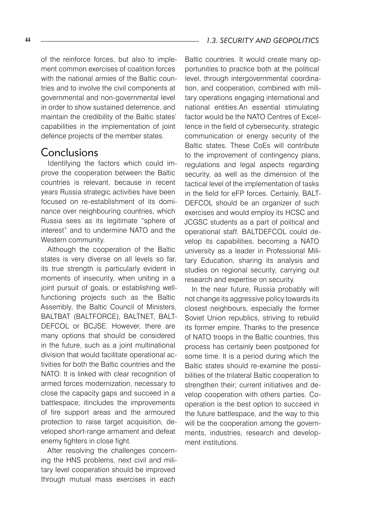of the reinforce forces, but also to implement common exercises of coalition forces with the national armies of the Baltic countries and to involve the civil components at governmental and non-governmental level in order to show sustained deterrence, and maintain the credibility of the Baltic states' capabilities in the implementation of joint defence projects of the member states.

#### **Conclusions**

Identifying the factors which could improve the cooperation between the Baltic countries is relevant, because in recent years Russia strategic activities have been focused on re-establishment of its dominance over neighbouring countries, which Russia sees as its legitimate "sphere of interest" and to undermine NATO and the Western community.

Although the cooperation of the Baltic states is very diverse on all levels so far, its true strength is particularly evident in moments of insecurity, when uniting in a joint pursuit of goals, or establishing wellfunctioning projects such as the Baltic Assembly, the Baltic Council of Ministers, BALTBAT (BALTFORCE), BALTNET, BALT-DEFCOL or BCJSE. However, there are many options that should be considered in the future, such as a joint multinational division that would facilitate operational activities for both the Baltic countries and the NATO. It is linked with clear recognition of armed forces modernization, necessary to close the capacity gaps and succeed in a battlespace; itincludes the improvements of fire support areas and the armoured protection to raise target acquisition, developed short-range armament and defeat enemy fighters in close fight.

After resolving the challenges concerning the HNS problems, next civil and military level cooperation should be improved through mutual mass exercises in each

Baltic countries. It would create many opportunities to practice both at the political level, through intergovernmental coordination, and cooperation, combined with military operations engaging international and national entities.An essential stimulating factor would be the NATO Centres of Excellence in the field of cybersecurity, strategic communication or energy security of the Baltic states. These CoEs will contribute to the improvement of contingency plans, regulations and legal aspects regarding security, as well as the dimension of the tactical level of the implementation of tasks in the field for eFP forces. Certainly, BALT-DEFCOL should be an organizer of such exercises and would employ its HCSC and JCGSC students as a part of political and operational staff. BALTDEFCOL could develop its capabilities, becoming a NATO university as a leader in Professional Military Education, sharing its analysis and studies on regional security, carrying out research and expertise on security.

In the near future, Russia probably will not change its aggressive policy towards its closest neighbours, especially the former Soviet Union republics, striving to rebuild its former empire. Thanks to the presence of NATO troops in the Baltic countries, this process has certainly been postponed for some time. It is a period during which the Baltic states should re-examine the possibilities of the trilateral Baltic cooperation to strengthen their; current initiatives and develop cooperation with others parties. Cooperation is the best option to succeed in the future battlespace, and the way to this will be the cooperation among the governments, industries, research and development institutions.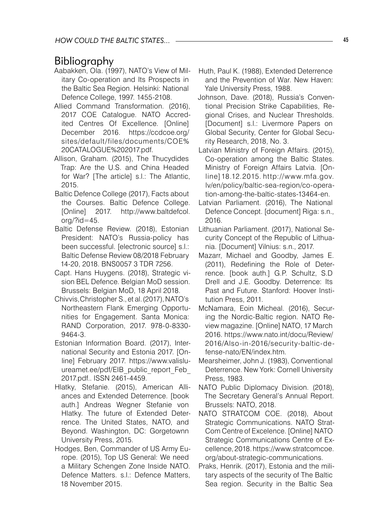### Bibliography

- Aabakken, Ola. (1997), NATO's View of Military Co-operation and Its Prospects in the Baltic Sea Region. Helsinki: National Defence College, 1997. 1455-2108.
- Allied Command Transformation. (2016), 2017 COE Catalogue. NATO Accredited Centres Of Excellence. [Online] December 2016. https://ccdcoe.org/ sites/default/files/documents/COE% 20CATALOGUE%202017.pdf.
- Allison, Graham. (2015), The Thucydides Trap: Are the U.S. and China Headed for War? [The article] s.l.: The Atlantic, 2015.
- Baltic Defence College (2017), Facts about the Courses. Baltic Defence College. [Online] 2017. http://www.baltdefcol.  $ora$ /? $id = 45$ .
- Baltic Defense Review. (2018), Estonian President: NATO's Russia-policy has been successful. [electronic source] s.l.: Baltic Defense Review 08/2018 February 14-20, 2018. BNS0057 3 TDR 7256.
- Capt. Hans Huygens. (2018), Strategic vision BEL Defence. Belgian MoD session. Brussels: Belgian MoD, 18 April 2018.
- Chivvis,Christopher S., et al.(2017), NATO's Northeastern Flank Emerging Opportunities for Engagement. Santa Monica: RAND Corporation, 2017. 978-0-8330- 9464-3.
- Estonian Information Board. (2017), International Security and Estonia 2017. [Online] February 2017. https://www.valisluureamet.ee/pdf/EIB\_public\_report\_Feb 2017.pdf.. ISSN 2461-4459.
- Hlatky, Stefanie. (2015), American Alliances and Extended Deterrence. [book auth.] Andreas Wegner Stefanie von Hlatky. The future of Extended Deterrence. The United States, NATO, and Beyond. Washington, DC: Gorgetownn University Press, 2015.
- Hodges, Ben, Commander of US Army Europe. (2015), Top US General: We need a Military Schengen Zone Inside NATO. Defence Matters. s.l.: Defence Matters, 18 November 2015.
- Huth, Paul K. (1988), Extended Deterrence and the Prevention of War. New Haven: Yale University Press, 1988.
- Johnson, Dave. (2018), Russia's Conventional Precision Strike Capabilities, Regional Crises, and Nuclear Thresholds. [Document] s.l.: Livermore Papers on Global Security, Center for Global Security Research, 2018, No. 3.
- Latvian Ministry of Foreign Affairs. (2015), Co-operation among the Baltic States. Ministry of Foreign Affairs Latvia. [Online] 18.12.2015. http://www.mfa.gov. lv/en/policy/baltic-sea-region/co-operation-among-the-baltic-states-13464-en.
- Latvian Parliament. (2016), The National Defence Concept. [document] Riga: s.n., 2016.
- Lithuanian Parliament. (2017), National Security Concept of the Republic of Lithuania. [Document] Vilnius: s.n., 2017.
- Mazarr, Michael and Goodby, James E. (2011), Redefining the Role of Deterrence. [book auth.] G.P. Schultz, S.D Drell and J.E. Goodby. Deterrence: Its Past and Future. Stanford: Hoover Institution Press, 2011.
- McNamara, Eoin Micheal. (2016), Securing the Nordic-Baltic region. NATO Review magazine. [Online] NATO, 17 March 2016. https://www.nato.int/docu/Review/ 2016/Also-in-2016/security-baltic-defense-nato/EN/index.htm.
- Mearsheimer, John J. (1983), Conventional Deterrence. New York: Cornell University Press, 1983.
- NATO Public Diplomacy Division. (2018), The Secretary General's Annual Report. Brussels: NATO, 2018.
- NATO STRATCOM COE. (2018), About Strategic Communications. NATO Strat-Com Centre of Excelence. [Online] NATO Strategic Communications Centre of Excellence, 2018. https://www.stratcomcoe. org/about-strategic-communications.
- Praks, Henrik. (2017), Estonia and the military aspects of the security of The Baltic Sea region. Security in the Baltic Sea